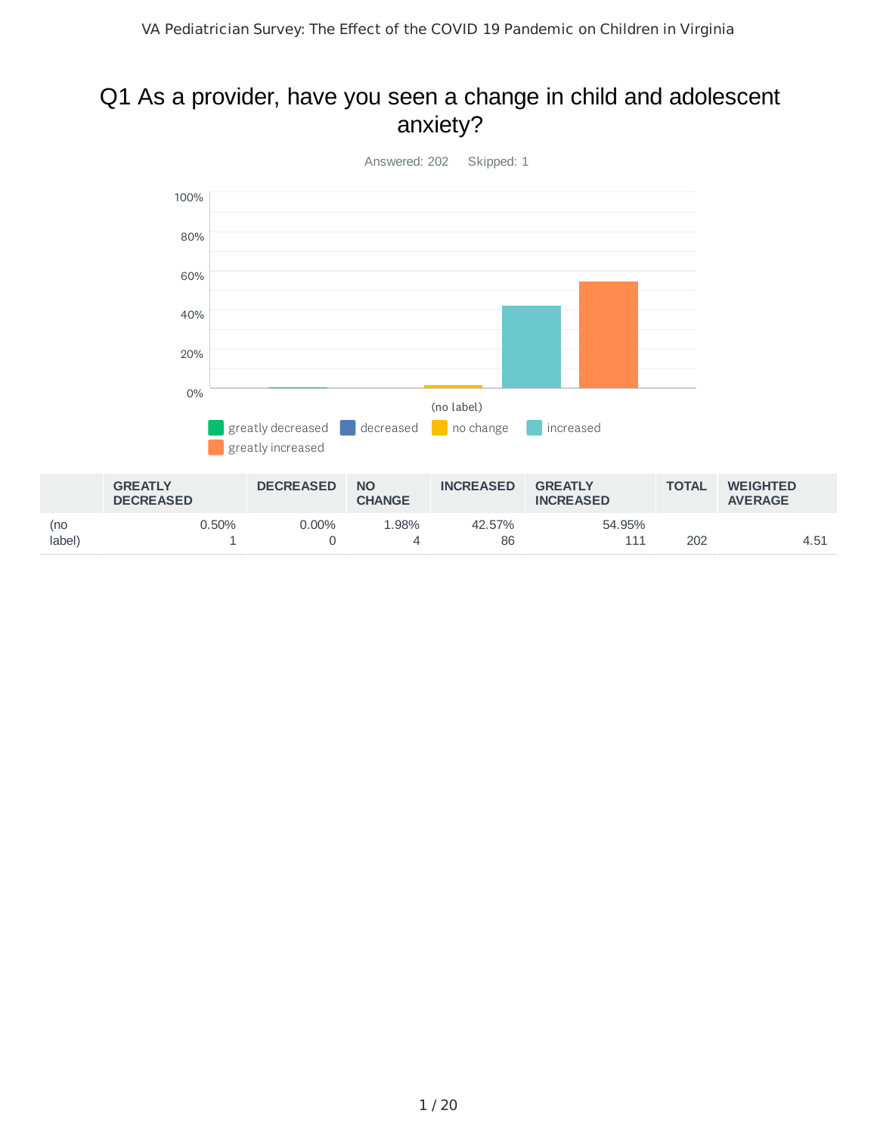#### Q1 As a provider, have you seen a change in child and adolescent anxiety?

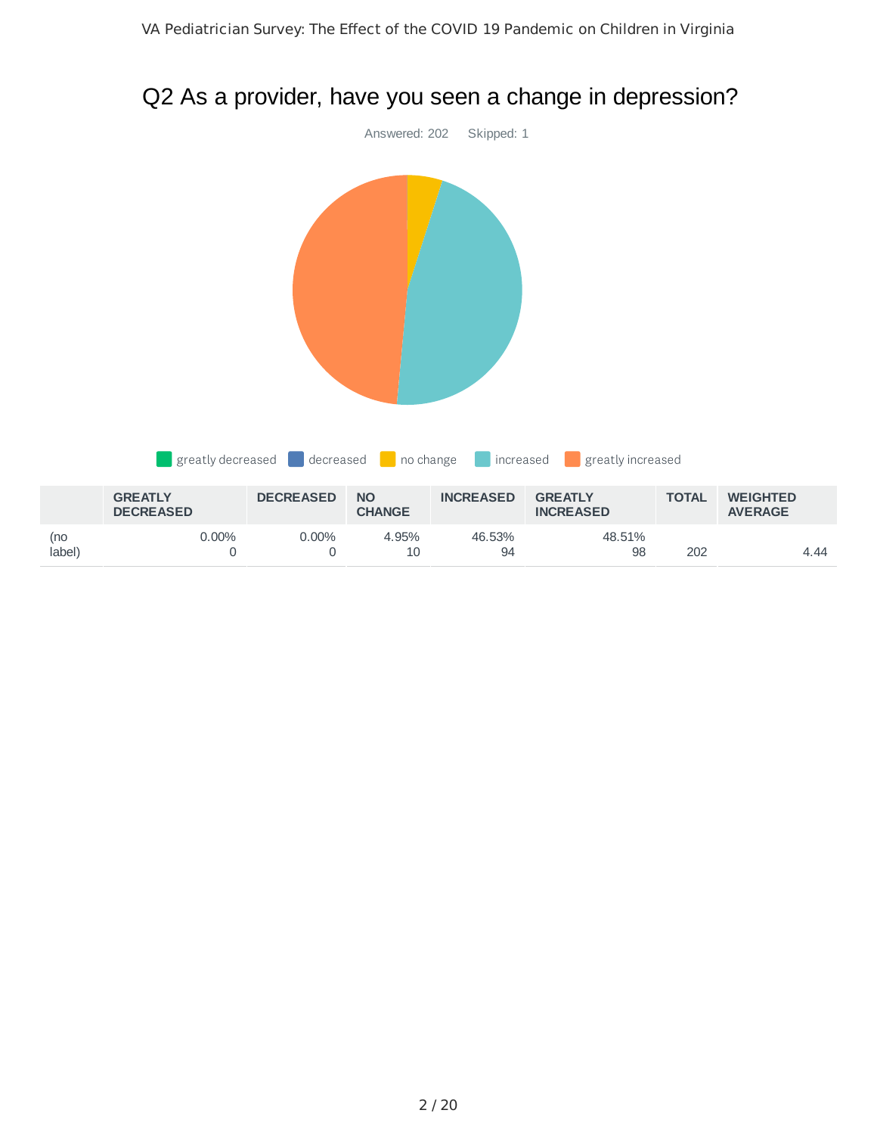

## Q2 As a provider, have you seen a change in depression?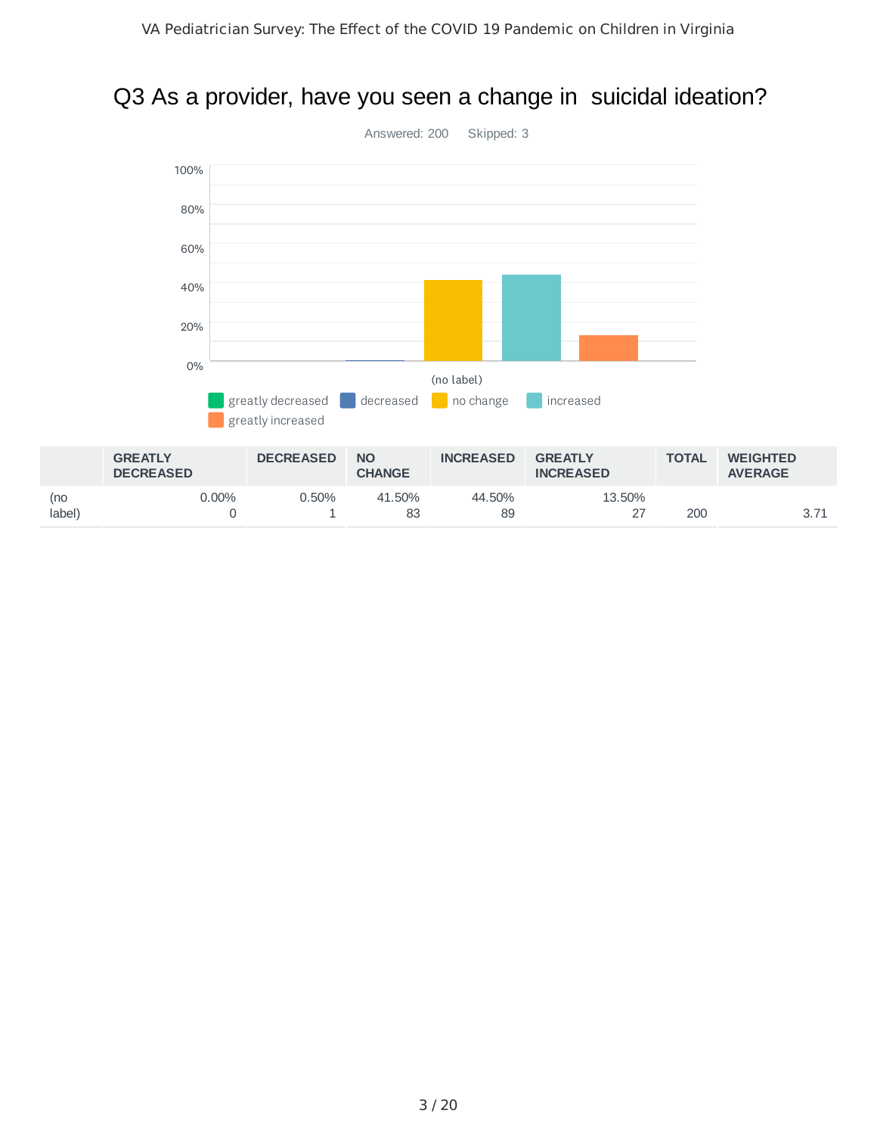## Q3 As a provider, have you seen a change in suicidal ideation?

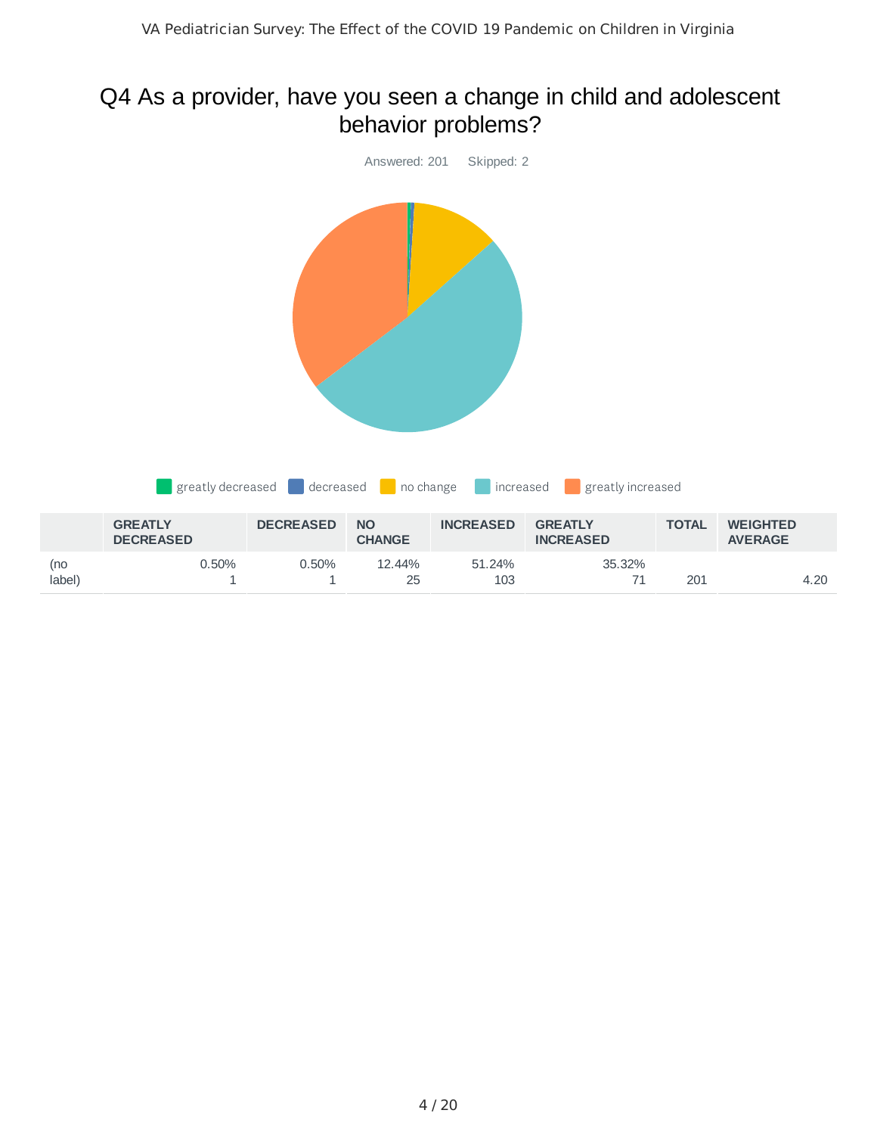### Q4 As a provider, have you seen a change in child and adolescent behavior problems?

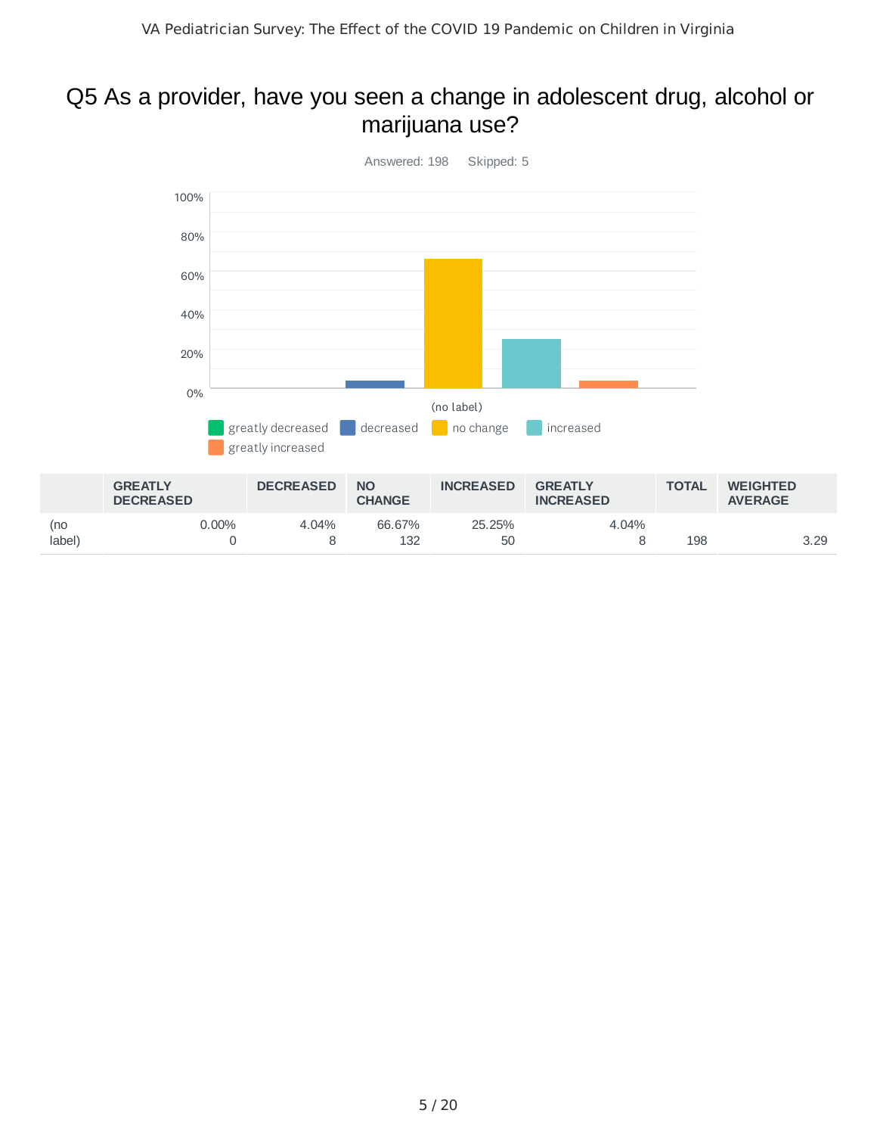#### Q5 As a provider, have you seen a change in adolescent drug, alcohol or marijuana use?

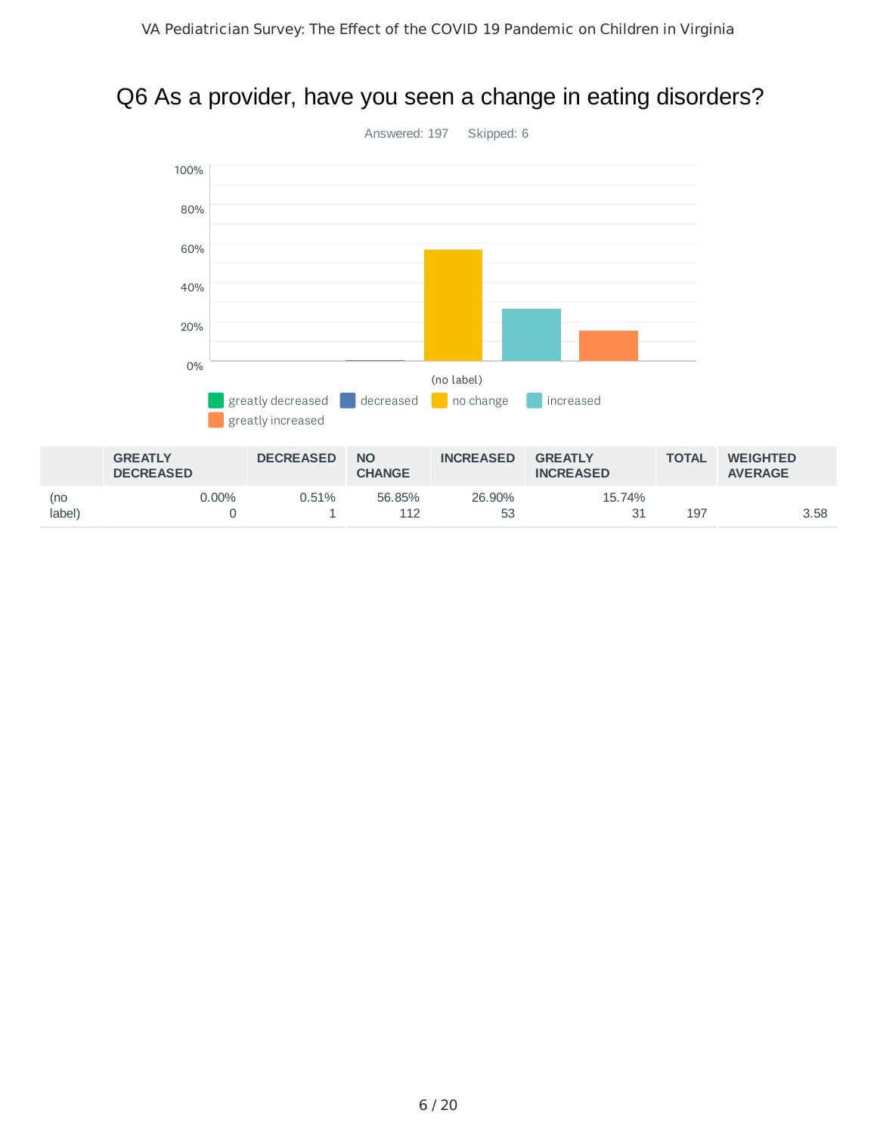### Q6 As a provider, have you seen a change in eating disorders?

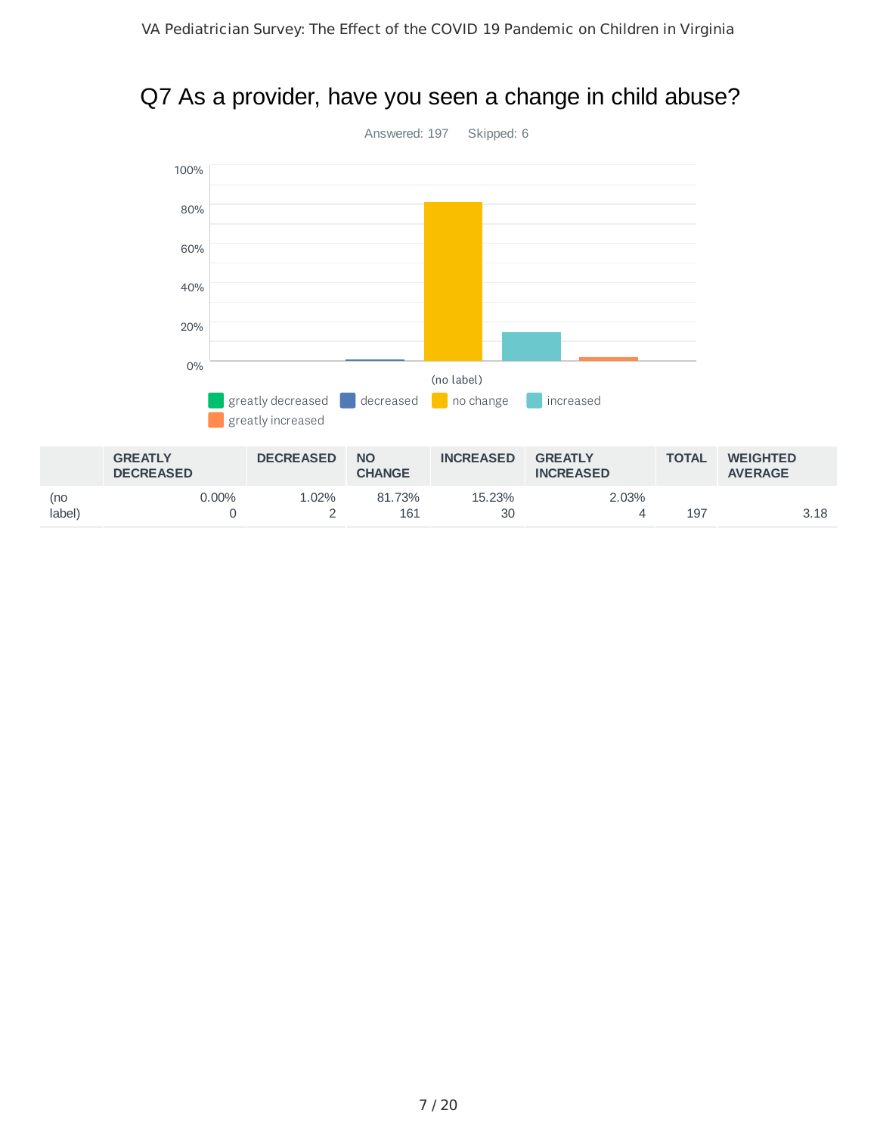

# Q7 As a provider, have you seen a change in child abuse?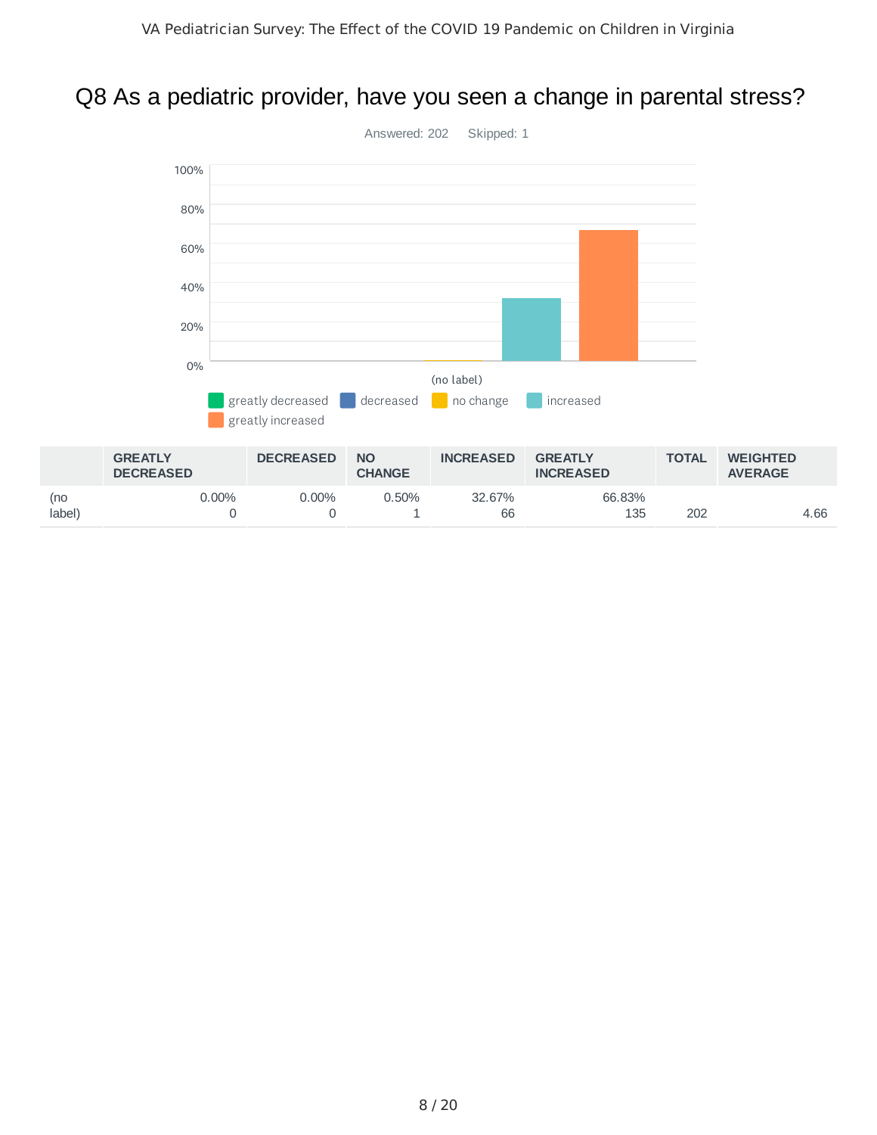## Q8 As a pediatric provider, have you seen a change in parental stress?



8 / 20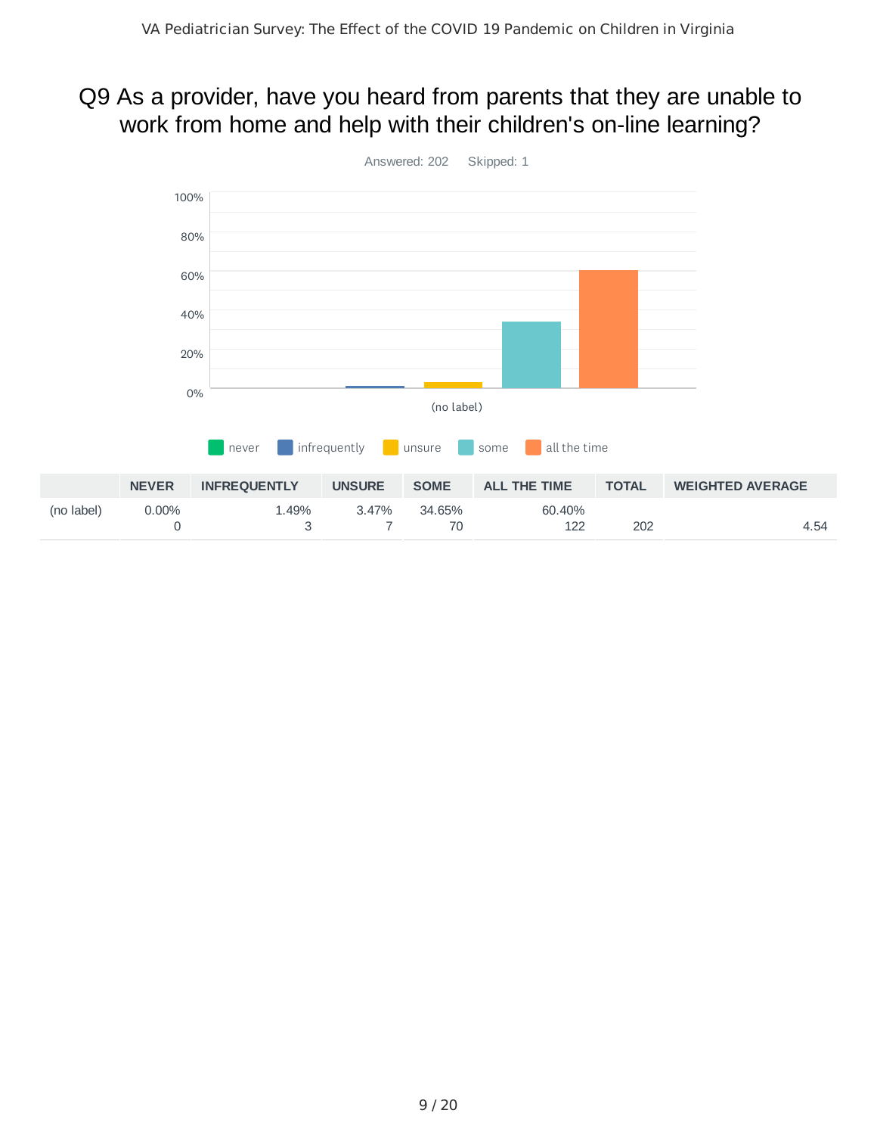### Q9 As a provider, have you heard from parents that they are unable to work from home and help with their children's on-line learning?

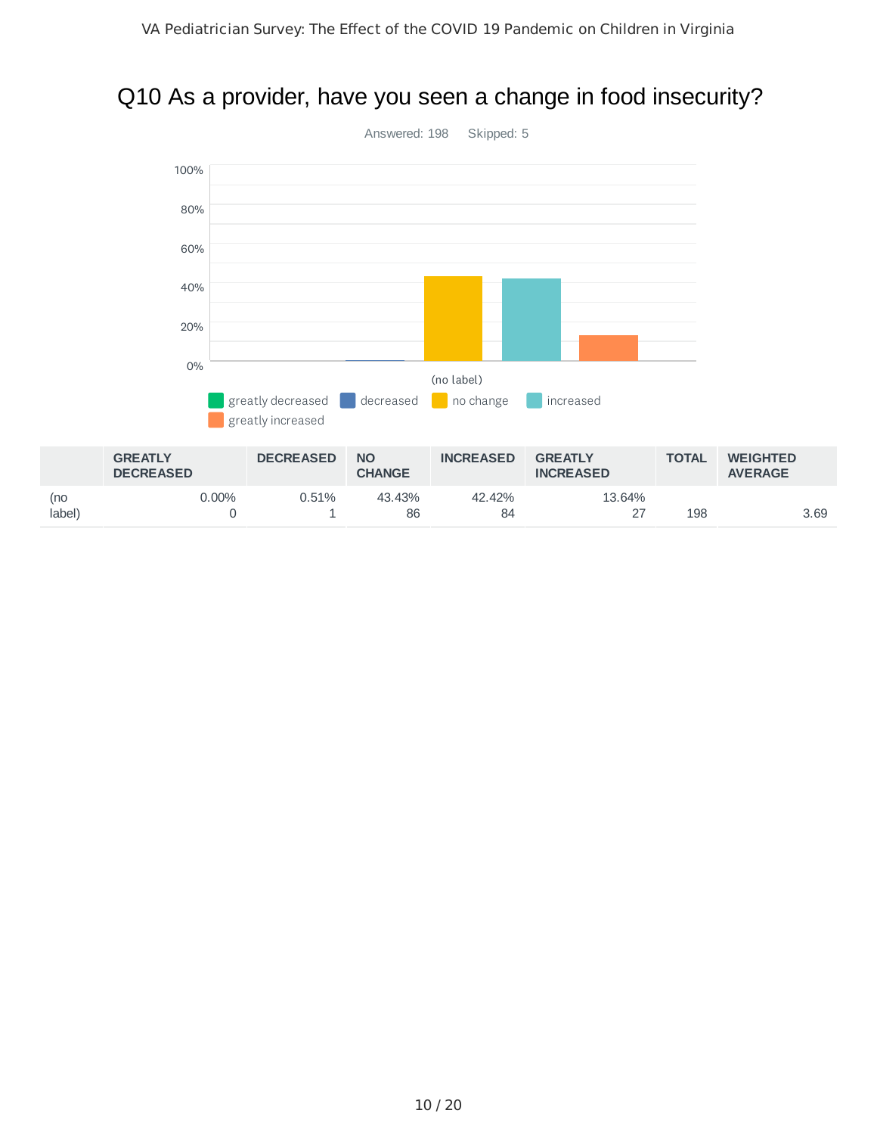## Q10 As a provider, have you seen a change in food insecurity?

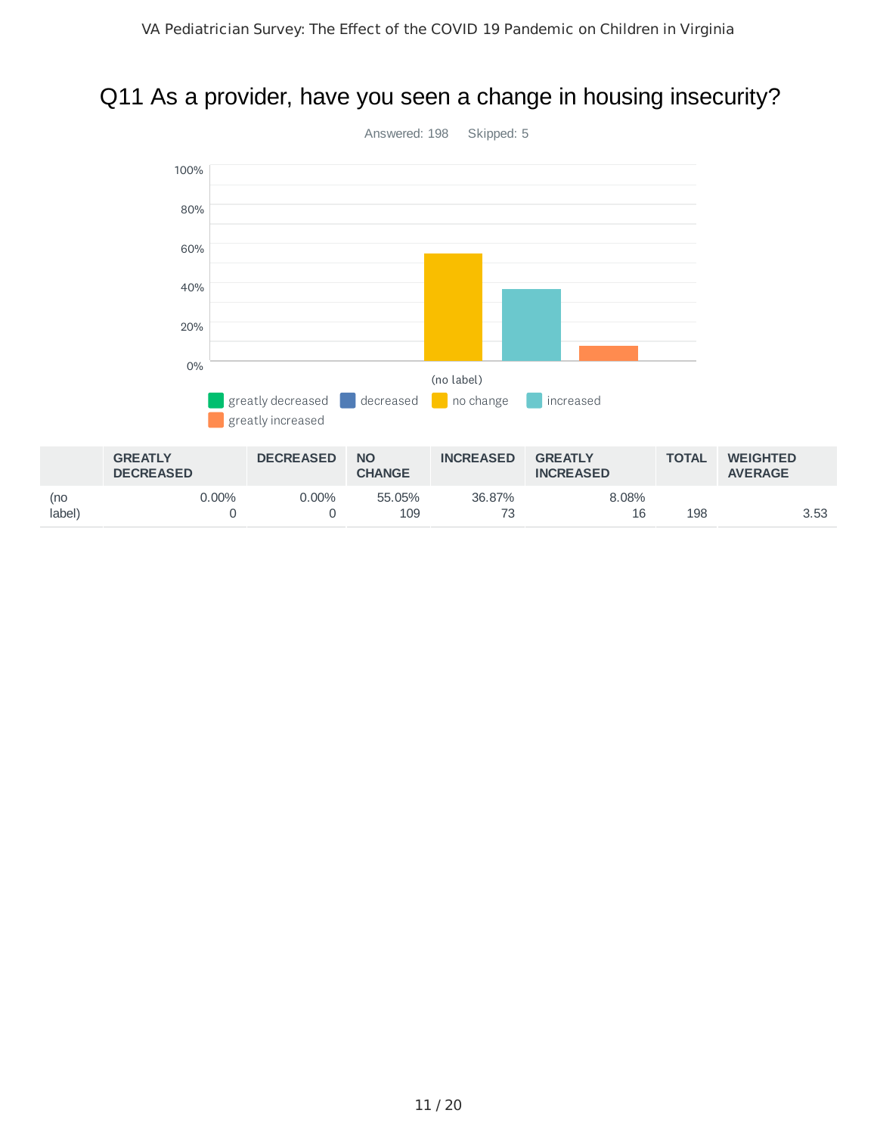## Q11 As a provider, have you seen a change in housing insecurity?

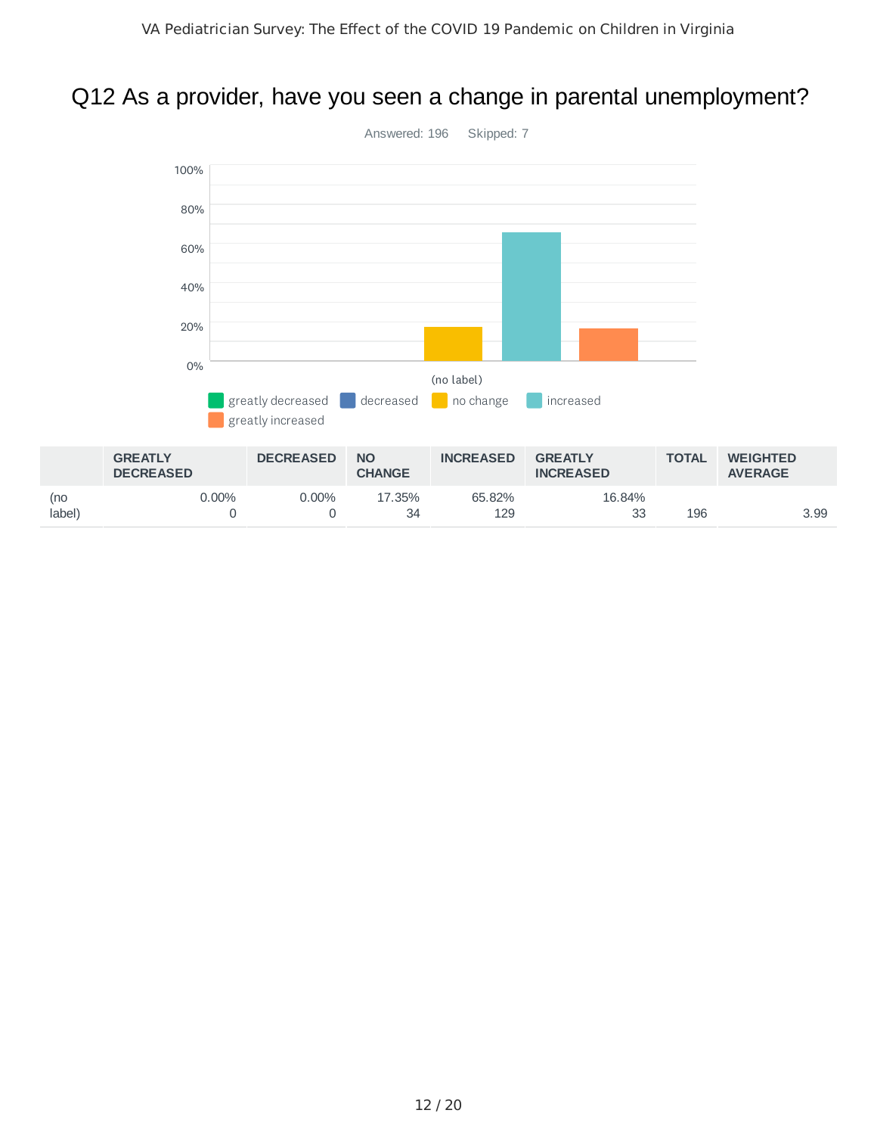## Q12 As a provider, have you seen a change in parental unemployment?

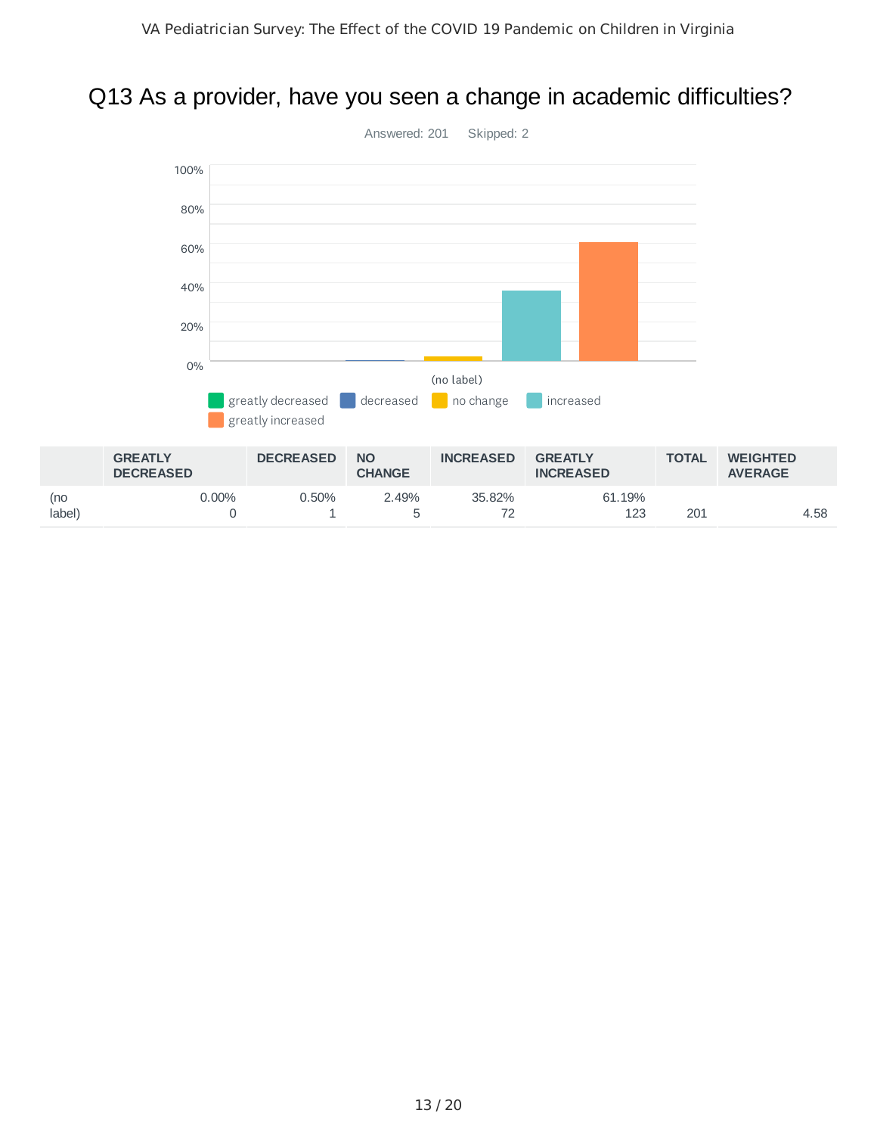## Q13 As a provider, have you seen a change in academic difficulties?

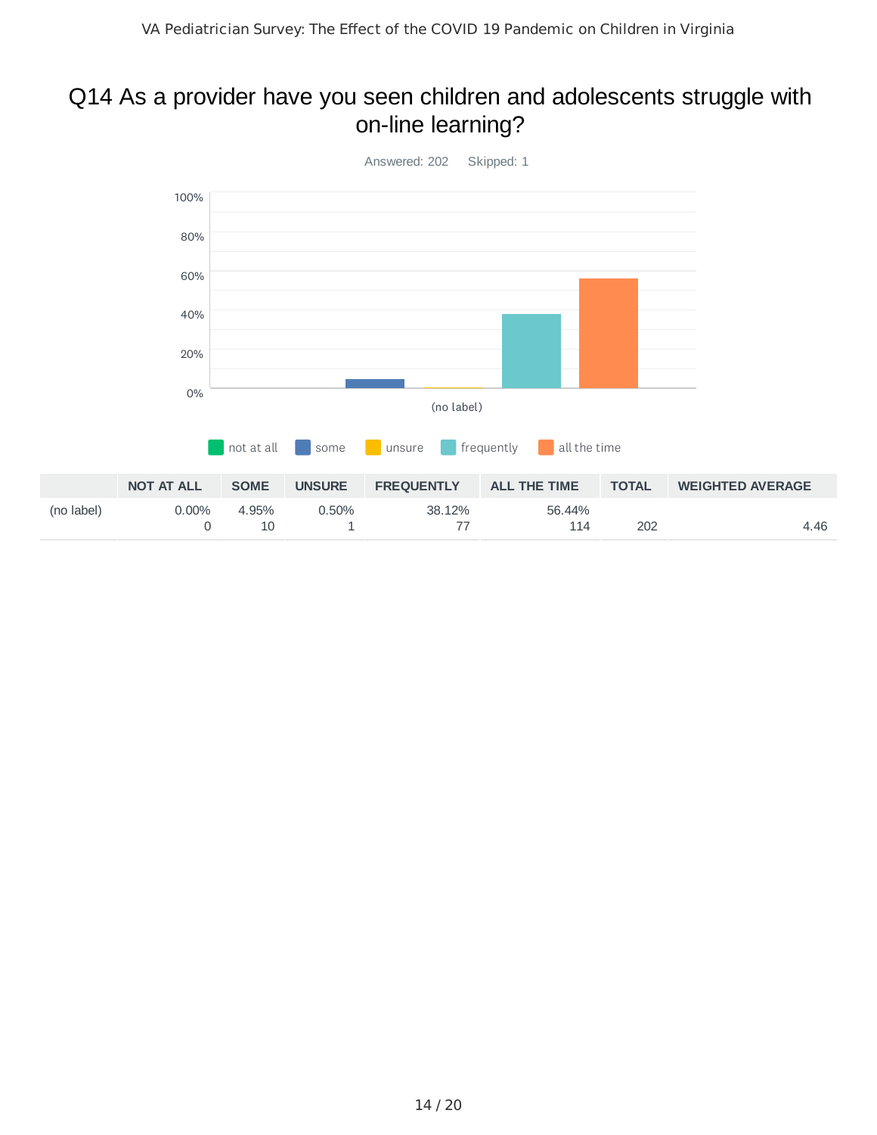#### Q14 As a provider have you seen children and adolescents struggle with on-line learning?

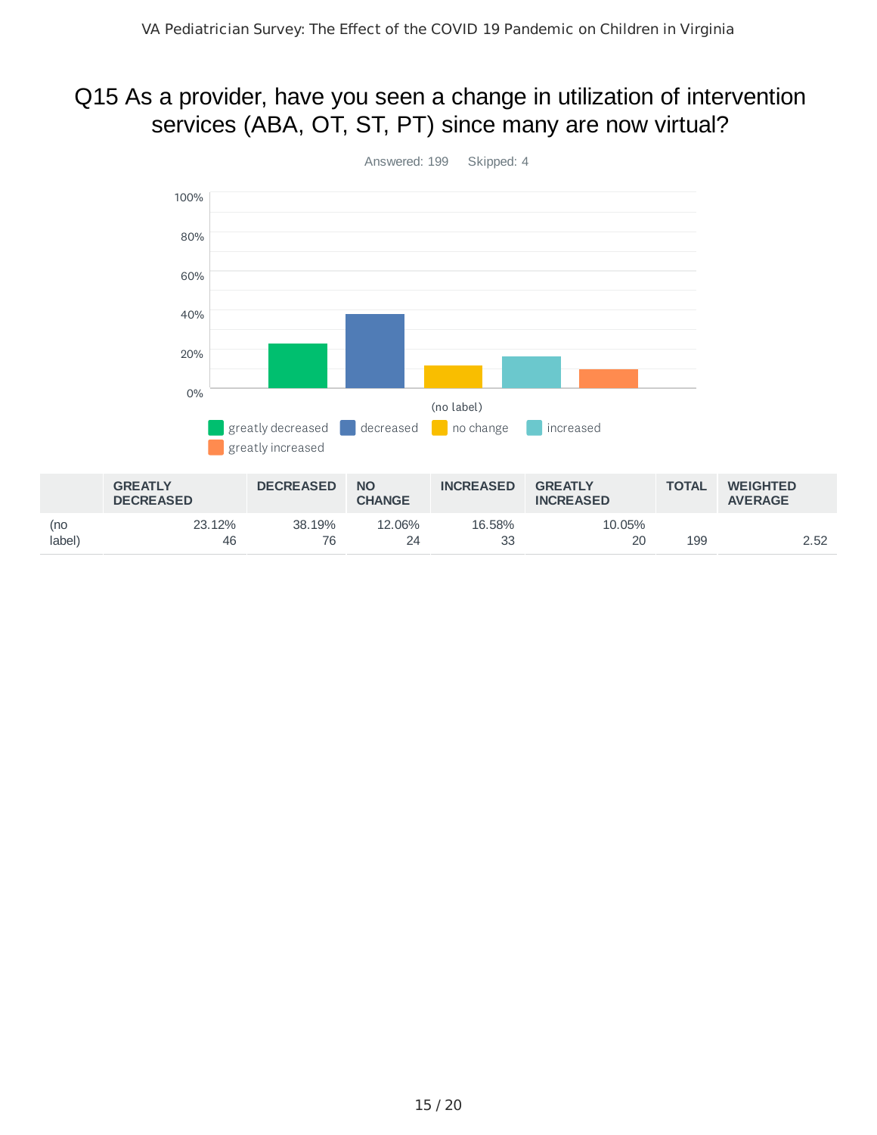#### Q15 As a provider, have you seen a change in utilization of intervention services (ABA, OT, ST, PT) since many are now virtual?



15 / 20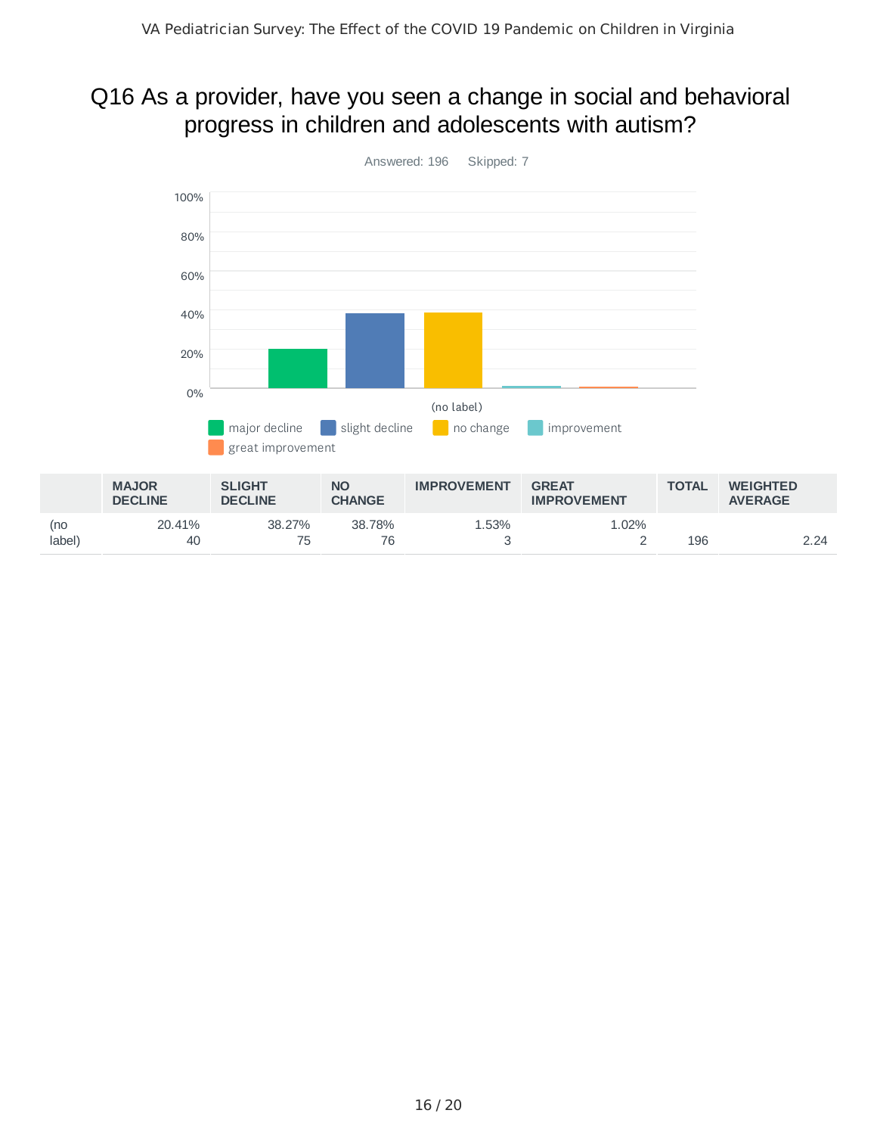## Q16 As a provider, have you seen a change in social and behavioral progress in children and adolescents with autism?

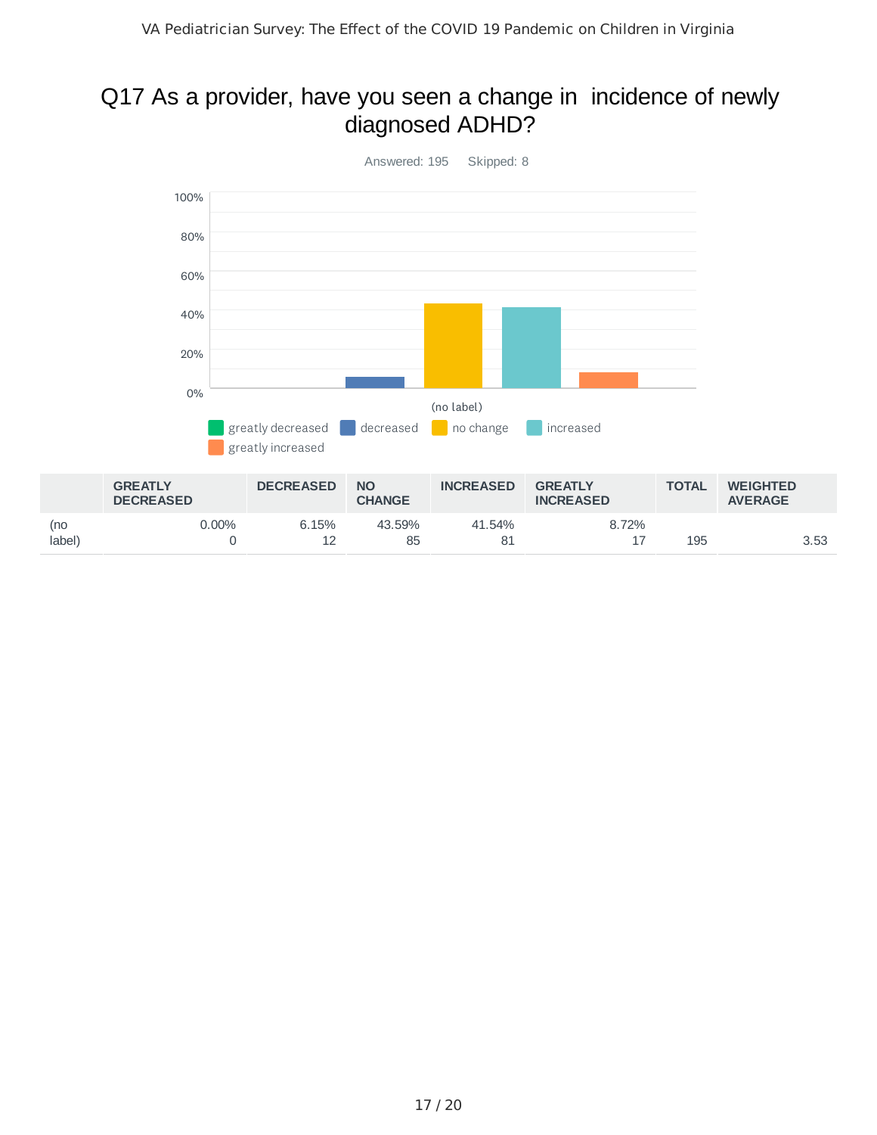### Q17 As a provider, have you seen a change in incidence of newly diagnosed ADHD?

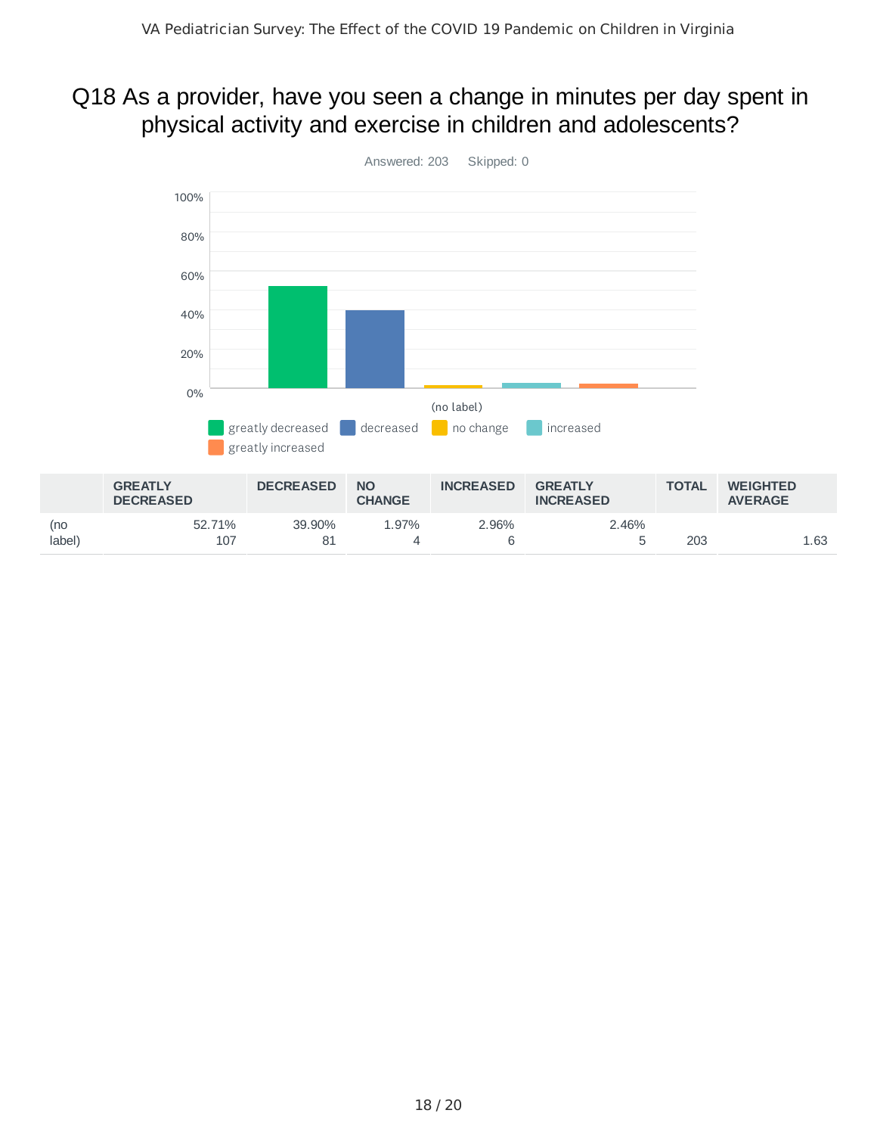#### Q18 As a provider, have you seen a change in minutes per day spent in physical activity and exercise in children and adolescents?

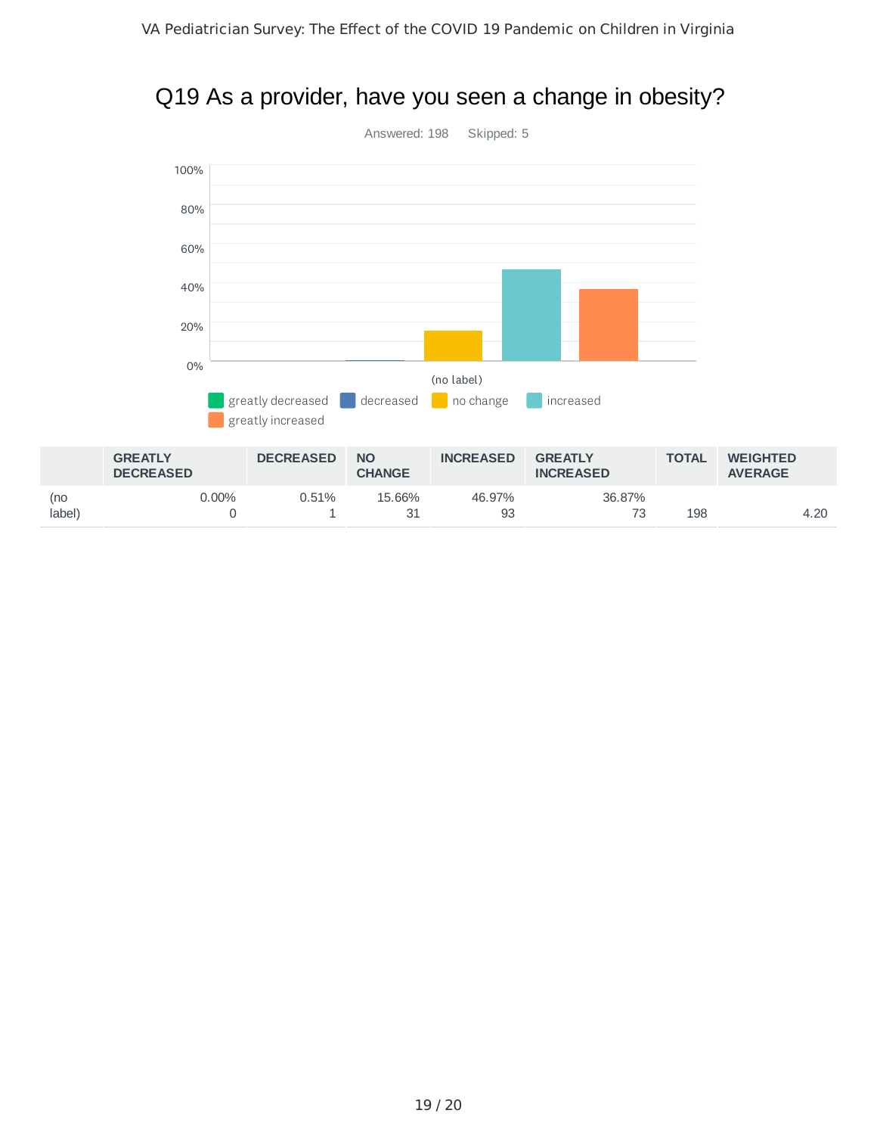

### Q19 As a provider, have you seen a change in obesity?